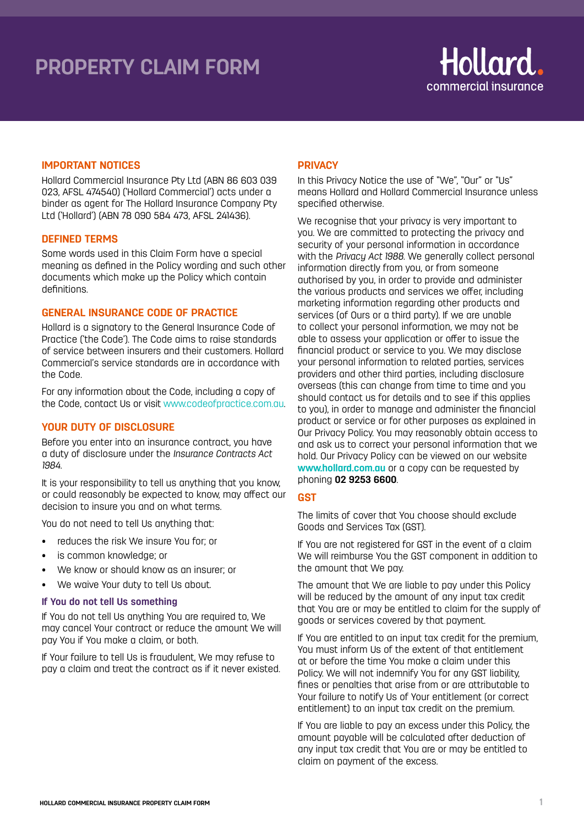# **LIABILITY CLAIM FORM PROPERTY CLAIM FORM**



## **IMPORTANT NOTICES**

Hollard Commercial Insurance Pty Ltd (ABN 86 603 039 023, AFSL 474540) ('Hollard Commercial') acts under a binder as agent for The Hollard Insurance Company Pty Ltd ('Hollard') (ABN 78 090 584 473, AFSL 241436).

### **DEFINED TERMS**

Some words used in this Claim Form have a special meaning as defined in the Policy wording and such other documents which make up the Policy which contain definitions

## **GENERAL INSURANCE CODE OF PRACTICE**

Hollard is a signatory to the General Insurance Code of Practice ('the Code'). The Code aims to raise standards of service between insurers and their customers. Hollard Commercial's service standards are in accordance with the Code.

For any information about the Code, including a copy of the Code, contact Us or visit www.codeofpractice.com.au.

## **YOUR DUTY OF DISCLOSURE**

Before you enter into an insurance contract, you have a duty of disclosure under the *Insurance Contracts Act 1984.* 

It is your responsibility to tell us anything that you know, or could reasonably be expected to know, may affect our decision to insure you and on what terms.

You do not need to tell Us anything that:

- reduces the risk We insure You for; or
- is common knowledge; or
- We know or should know as an insurer; or
- We waive Your duty to tell Us about.

### **If You do not tell Us something**

If You do not tell Us anything You are required to, We may cancel Your contract or reduce the amount We will pay You if You make a claim, or both.

If Your failure to tell Us is fraudulent, We may refuse to pay a claim and treat the contract as if it never existed.

## **PRIVACY**

In this Privacy Notice the use of "We", "Our" or "Us" means Hollard and Hollard Commercial Insurance unless specified otherwise.

We recognise that your privacy is very important to you. We are committed to protecting the privacy and security of your personal information in accordance with the *Privacy Act 1988*. We generally collect personal information directly from you, or from someone authorised by you, in order to provide and administer the various products and services we offer, including marketing information regarding other products and services (of Ours or a third party). If we are unable to collect your personal information, we may not be able to assess your application or offer to issue the financial product or service to you. We may disclose your personal information to related parties, services providers and other third parties, including disclosure overseas (this can change from time to time and you should contact us for details and to see if this applies to you), in order to manage and administer the financial product or service or for other purposes as explained in Our Privacy Policy. You may reasonably obtain access to and ask us to correct your personal information that we hold. Our Privacy Policy can be viewed on our website **www.hollard.com.au** or a copy can be requested by phoning **02 9253 6600**.

# **GST**

The limits of cover that You choose should exclude Goods and Services Tax (GST).

If You are not registered for GST in the event of a claim We will reimburse You the GST component in addition to the amount that We pay.

The amount that We are liable to pay under this Policy will be reduced by the amount of any input tax credit that You are or may be entitled to claim for the supply of goods or services covered by that payment.

If You are entitled to an input tax credit for the premium, You must inform Us of the extent of that entitlement at or before the time You make a claim under this Policy. We will not indemnify You for any GST liability, fines or penalties that arise from or are attributable to Your failure to notify Us of Your entitlement (or correct entitlement) to an input tax credit on the premium.

If You are liable to pay an excess under this Policy, the amount payable will be calculated after deduction of any input tax credit that You are or may be entitled to claim on payment of the excess.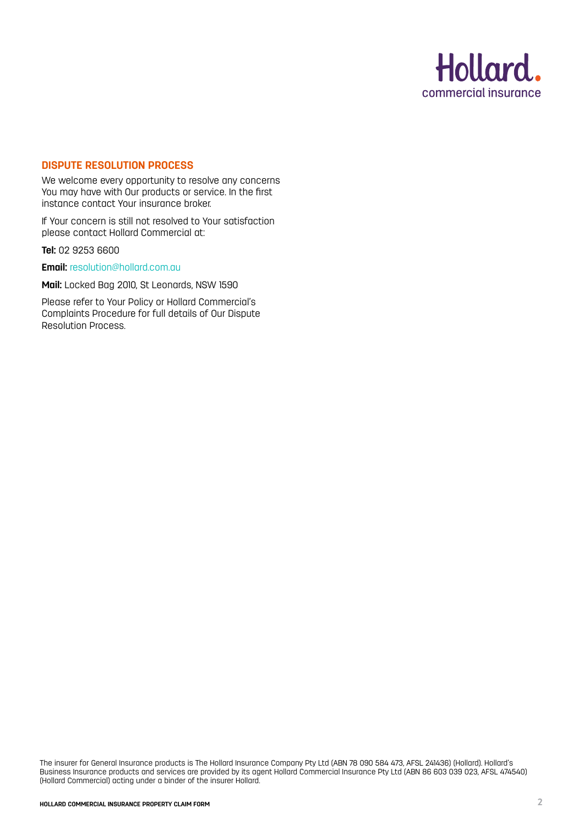

# **DISPUTE RESOLUTION PROCESS**

We welcome every opportunity to resolve any concerns You may have with Our products or service. In the first instance contact Your insurance broker.

If Your concern is still not resolved to Your satisfaction please contact Hollard Commercial at:

**Tel:** 02 9253 6600

**Email:** resolution@hollard.com.au

**Mail:** Locked Bag 2010, St Leonards, NSW 1590

Please refer to Your Policy or Hollard Commercial's Complaints Procedure for full details of Our Dispute Resolution Process.

The insurer for General Insurance products is The Hollard Insurance Company Pty Ltd (ABN 78 090 584 473, AFSL 241436) (Hollard). Hollard's Business Insurance products and services are provided by its agent Hollard Commercial Insurance Pty Ltd (ABN 86 603 039 023, AFSL 474540) (Hollard Commercial) acting under a binder of the insurer Hollard.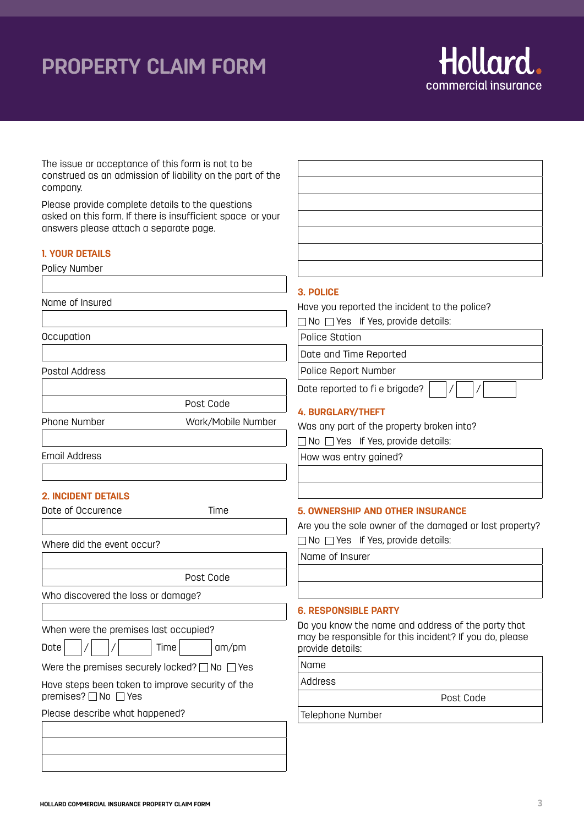# **PROPERTY CLAIM FORM**

The issue or acceptance of this form is not to be



construed as an admission of liability on the part of the company. Please provide complete details to the questions asked on this form. If there is insufficient space or your answers please attach a separate page. **1. YOUR DETAILS** Policy Number Name of Insured **Occupation** Post Code Phone Number Work/Mobile Number Email Address **2. INCIDENT DETAILS** Date of Occurence Time Where did the event occur? Post Code **3. POLICE** Have you reported the incident to the police?  $\Box$  No  $\Box$  Yes If Yes, provide details: Police Station Date and Time Reported Police Report Number Date reported to fi e brigade? **4. BURGLARY/THEFT** Was any part of the property broken into?  $\Box$  No  $\Box$  Yes If Yes, provide details: How was entry gained? **5. OWNERSHIP AND OTHER INSURANCE** Are you the sole owner of the damaged or lost property?  $\Box$  No  $\Box$  Yes If Yes, provide details: Name of Insurer

**6. RESPONSIBLE PARTY**

Do you know the name and address of the party that may be responsible for this incident? If you do, please provide details:

Name

Address

Post Code

Telephone Number

Postal Address

Who discovered the loss or damage?

When were the premises last occupied?

Date  $| / | / |$  Time am/pm

Were the premises securely locked?  $\Box$  No  $\Box$  Yes

Have steps been taken to improve security of the premises?  $\Box$  No  $\Box$  Yes

Please describe what happened?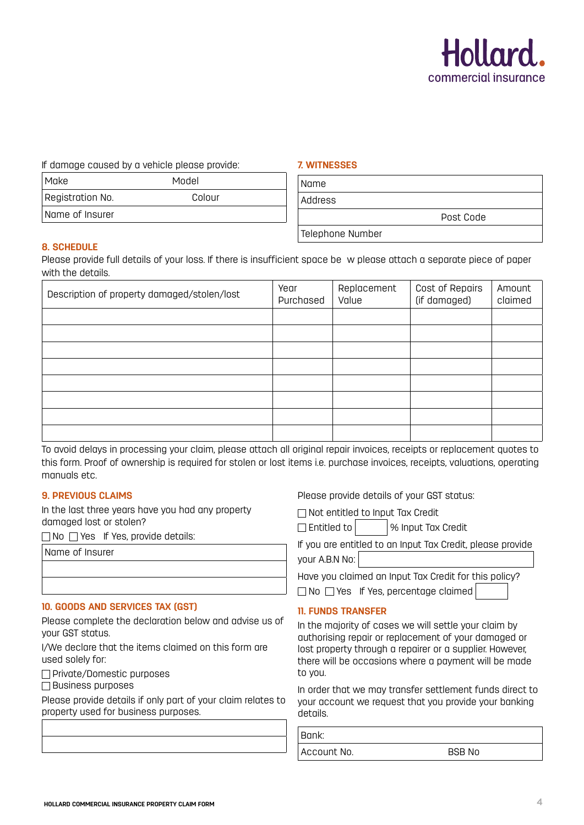

If damage caused by a vehicle please provide:

| Make             | Model  |
|------------------|--------|
| Registration No. | Colour |
| Name of Insurer  |        |

## **7. WITNESSES**

| Name             |           |  |
|------------------|-----------|--|
| Address          |           |  |
|                  | Post Code |  |
| Telephone Number |           |  |

## **8. SCHEDULE**

Please provide full details of your loss. If there is insufficient space be w please attach a separate piece of paper with the details.

| Description of property damaged/stolen/lost | Year<br>Purchased | Replacement<br>Value | Cost of Repairs<br>(if damaged) | Amount<br>claimed |
|---------------------------------------------|-------------------|----------------------|---------------------------------|-------------------|
|                                             |                   |                      |                                 |                   |
|                                             |                   |                      |                                 |                   |
|                                             |                   |                      |                                 |                   |
|                                             |                   |                      |                                 |                   |
|                                             |                   |                      |                                 |                   |
|                                             |                   |                      |                                 |                   |
|                                             |                   |                      |                                 |                   |
|                                             |                   |                      |                                 |                   |

To avoid delays in processing your claim, please attach all original repair invoices, receipts or replacement quotes to this form. Proof of ownership is required for stolen or lost items i.e. purchase invoices, receipts, valuations, operating manuals etc.

## **9. PREVIOUS CLAIMS**

In the last three years have you had any property damaged lost or stolen?

 $\Box$  No  $\Box$  Yes If Yes, provide details:

Name of Insurer

## **10. GOODS AND SERVICES TAX (GST)**

Please complete the declaration below and advise us of your GST status.

I/We declare that the items claimed on this form are used solely for:

 $\Box$  Private/Domestic purposes

 $\Box$  Business purposes

Please provide details if only part of your claim relates to property used for business purposes.

Please provide details of your GST status:

Not entitled to Input Tax Credit

 $\Box$  Entitled to  $\Box$   $\Box$   $\Diamond$  Input Tax Credit

If you are entitled to an Input Tax Credit, please provide your A.B.N No:

Have you claimed an Input Tax Credit for this policy?  $\Box$  No  $\Box$  Yes If Yes, percentage claimed

## **11. FUNDS TRANSFER**

In the majority of cases we will settle your claim by authorising repair or replacement of your damaged or lost property through a repairer or a supplier. However, there will be occasions where a payment will be made to you.

In order that we may transfer settlement funds direct to your account we request that you provide your banking details.

 Bank: Account No. 66 and BSB No.

**HOLLARD COMMERCIAL INSURANCE PROPERTY CLAIM FORM**